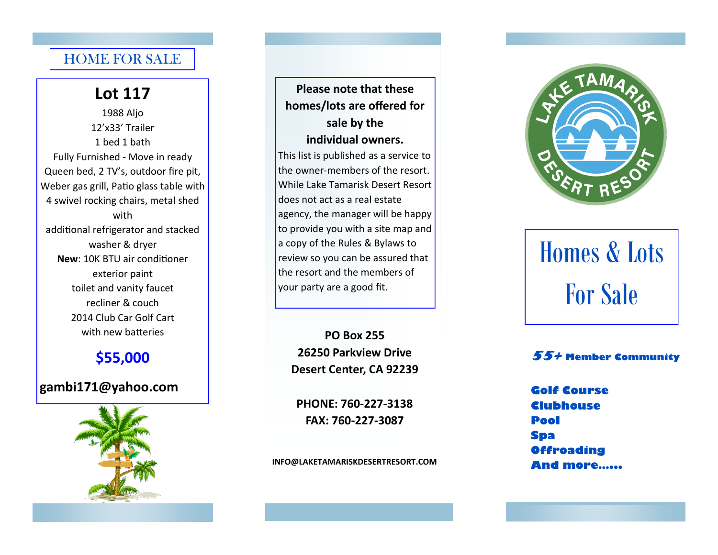#### HOME FOR SALE

#### **Lot 117**

1988 Aljo 12'x33' Trailer 1 bed 1 bath Fully Furnished - Move in ready Queen bed, 2 TV's, outdoor fire pit, Weber gas grill, Patio glass table with 4 swivel rocking chairs, metal shed with additional refrigerator and stacked washer & dryer **New**: 10K BTU air conditioner exterior paint toilet and vanity faucet recliner & couch 2014 Club Car Golf Cart with new batteries

#### **\$55,000**

#### **gambi171@yahoo.com**



**Please note that these homes/lots are offered for sale by the individual owners.**  This list is published as a service to the owner-members of the resort. While Lake Tamarisk Desert Resort does not act as a real estate

agency, the manager will be happy to provide you with a site map and a copy of the Rules & Bylaws to review so you can be assured that the resort and the members of your party are a good fit.

**PO Box 255 26250 Parkview Drive Desert Center, CA 92239**

**PHONE: 760-227-3138 FAX: 760-227-3087**

**INFO@LAKETAMARISKDESERTRESORT.COM**



# Homes & Lots For Sale

#### **55+ Member Community**

**Golf Course Clubhouse Pool Spa Offroading And more…...**